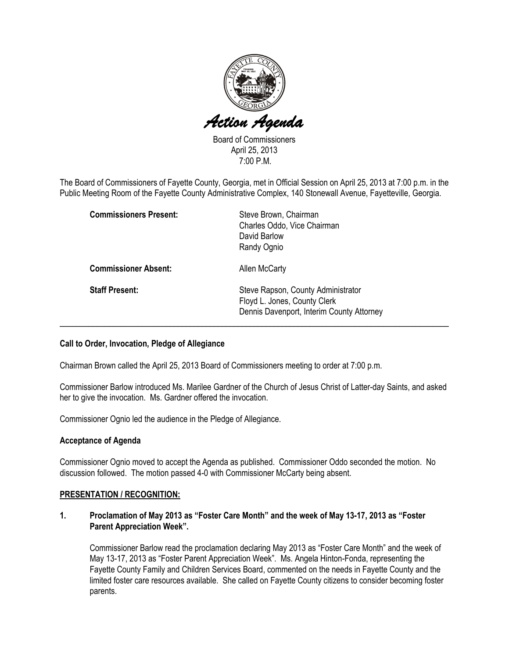

Board of Commissioners April 25, 2013 7:00 P.M.

The Board of Commissioners of Fayette County, Georgia, met in Official Session on April 25, 2013 at 7:00 p.m. in the Public Meeting Room of the Fayette County Administrative Complex, 140 Stonewall Avenue, Fayetteville, Georgia.

| <b>Commissioners Present:</b> | Steve Brown, Chairman<br>Charles Oddo, Vice Chairman<br>David Barlow<br>Randy Ognio                             |
|-------------------------------|-----------------------------------------------------------------------------------------------------------------|
| <b>Commissioner Absent:</b>   | Allen McCarty                                                                                                   |
| <b>Staff Present:</b>         | Steve Rapson, County Administrator<br>Floyd L. Jones, County Clerk<br>Dennis Davenport, Interim County Attorney |

## Call to Order, Invocation, Pledge of Allegiance

Chairman Brown called the April 25, 2013 Board of Commissioners meeting to order at 7:00 p.m.

Commissioner Barlow introduced Ms. Marilee Gardner of the Church of Jesus Christ of Latter-day Saints, and asked her to give the invocation. Ms. Gardner offered the invocation.

Commissioner Ognio led the audience in the Pledge of Allegiance.

#### Acceptance of Agenda

Commissioner Ognio moved to accept the Agenda as published. Commissioner Oddo seconded the motion. No discussion followed. The motion passed 4-0 with Commissioner McCarty being absent.

#### PRESENTATION / RECOGNITION:

## 1. Proclamation of May 2013 as "Foster Care Month" and the week of May 13-17, 2013 as "Foster Parent Appreciation Week".

Commissioner Barlow read the proclamation declaring May 2013 as "Foster Care Month" and the week of May 13-17, 2013 as "Foster Parent Appreciation Week". Ms. Angela Hinton-Fonda, representing the Fayette County Family and Children Services Board, commented on the needs in Fayette County and the limited foster care resources available. She called on Fayette County citizens to consider becoming foster parents.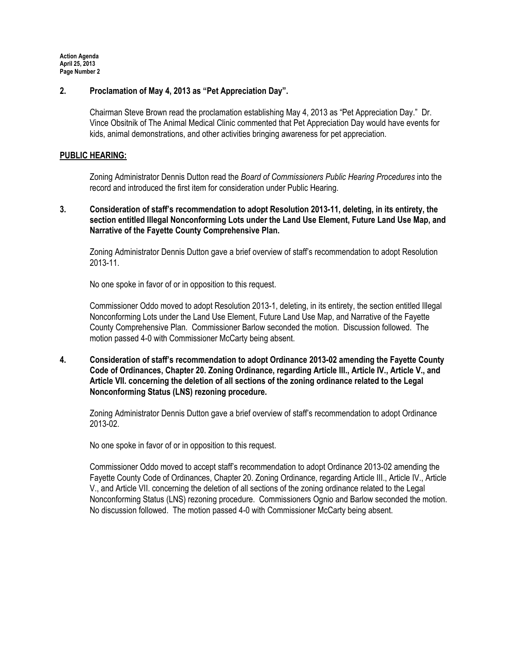## 2. Proclamation of May 4, 2013 as "Pet Appreciation Day".

Chairman Steve Brown read the proclamation establishing May 4, 2013 as "Pet Appreciation Day." Dr. Vince Obsitnik of The Animal Medical Clinic commented that Pet Appreciation Day would have events for kids, animal demonstrations, and other activities bringing awareness for pet appreciation.

#### PUBLIC HEARING:

Zoning Administrator Dennis Dutton read the Board of Commissioners Public Hearing Procedures into the record and introduced the first item for consideration under Public Hearing.

## 3. Consideration of staff's recommendation to adopt Resolution 2013-11, deleting, in its entirety, the section entitled Illegal Nonconforming Lots under the Land Use Element, Future Land Use Map, and Narrative of the Fayette County Comprehensive Plan.

Zoning Administrator Dennis Dutton gave a brief overview of staff's recommendation to adopt Resolution 2013-11.

No one spoke in favor of or in opposition to this request.

Commissioner Oddo moved to adopt Resolution 2013-1, deleting, in its entirety, the section entitled Illegal Nonconforming Lots under the Land Use Element, Future Land Use Map, and Narrative of the Fayette County Comprehensive Plan. Commissioner Barlow seconded the motion. Discussion followed. The motion passed 4-0 with Commissioner McCarty being absent.

4. Consideration of staff's recommendation to adopt Ordinance 2013-02 amending the Fayette County Code of Ordinances, Chapter 20. Zoning Ordinance, regarding Article III., Article IV., Article V., and Article VII. concerning the deletion of all sections of the zoning ordinance related to the Legal Nonconforming Status (LNS) rezoning procedure.

Zoning Administrator Dennis Dutton gave a brief overview of staff's recommendation to adopt Ordinance 2013-02.

No one spoke in favor of or in opposition to this request.

Commissioner Oddo moved to accept staff's recommendation to adopt Ordinance 2013-02 amending the Fayette County Code of Ordinances, Chapter 20. Zoning Ordinance, regarding Article III., Article IV., Article V., and Article VII. concerning the deletion of all sections of the zoning ordinance related to the Legal Nonconforming Status (LNS) rezoning procedure. Commissioners Ognio and Barlow seconded the motion. No discussion followed. The motion passed 4-0 with Commissioner McCarty being absent.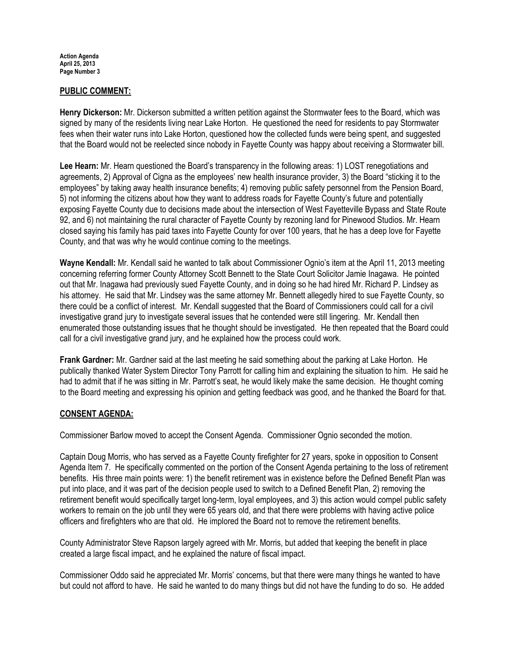## PUBLIC COMMENT:

Henry Dickerson: Mr. Dickerson submitted a written petition against the Stormwater fees to the Board, which was signed by many of the residents living near Lake Horton. He questioned the need for residents to pay Stormwater fees when their water runs into Lake Horton, questioned how the collected funds were being spent, and suggested that the Board would not be reelected since nobody in Fayette County was happy about receiving a Stormwater bill.

Lee Hearn: Mr. Hearn questioned the Board's transparency in the following areas: 1) LOST renegotiations and agreements, 2) Approval of Cigna as the employees' new health insurance provider, 3) the Board "sticking it to the employees" by taking away health insurance benefits; 4) removing public safety personnel from the Pension Board, 5) not informing the citizens about how they want to address roads for Fayette County's future and potentially exposing Fayette County due to decisions made about the intersection of West Fayetteville Bypass and State Route 92, and 6) not maintaining the rural character of Fayette County by rezoning land for Pinewood Studios. Mr. Hearn closed saying his family has paid taxes into Fayette County for over 100 years, that he has a deep love for Fayette County, and that was why he would continue coming to the meetings.

Wayne Kendall: Mr. Kendall said he wanted to talk about Commissioner Ognio's item at the April 11, 2013 meeting concerning referring former County Attorney Scott Bennett to the State Court Solicitor Jamie Inagawa. He pointed out that Mr. Inagawa had previously sued Fayette County, and in doing so he had hired Mr. Richard P. Lindsey as his attorney. He said that Mr. Lindsey was the same attorney Mr. Bennett allegedly hired to sue Fayette County, so there could be a conflict of interest. Mr. Kendall suggested that the Board of Commissioners could call for a civil investigative grand jury to investigate several issues that he contended were still lingering. Mr. Kendall then enumerated those outstanding issues that he thought should be investigated. He then repeated that the Board could call for a civil investigative grand jury, and he explained how the process could work.

Frank Gardner: Mr. Gardner said at the last meeting he said something about the parking at Lake Horton. He publically thanked Water System Director Tony Parrott for calling him and explaining the situation to him. He said he had to admit that if he was sitting in Mr. Parrott's seat, he would likely make the same decision. He thought coming to the Board meeting and expressing his opinion and getting feedback was good, and he thanked the Board for that.

## CONSENT AGENDA:

Commissioner Barlow moved to accept the Consent Agenda. Commissioner Ognio seconded the motion.

Captain Doug Morris, who has served as a Fayette County firefighter for 27 years, spoke in opposition to Consent Agenda Item 7. He specifically commented on the portion of the Consent Agenda pertaining to the loss of retirement benefits. His three main points were: 1) the benefit retirement was in existence before the Defined Benefit Plan was put into place, and it was part of the decision people used to switch to a Defined Benefit Plan, 2) removing the retirement benefit would specifically target long-term, loyal employees, and 3) this action would compel public safety workers to remain on the job until they were 65 years old, and that there were problems with having active police officers and firefighters who are that old. He implored the Board not to remove the retirement benefits.

County Administrator Steve Rapson largely agreed with Mr. Morris, but added that keeping the benefit in place created a large fiscal impact, and he explained the nature of fiscal impact.

Commissioner Oddo said he appreciated Mr. Morris' concerns, but that there were many things he wanted to have but could not afford to have. He said he wanted to do many things but did not have the funding to do so. He added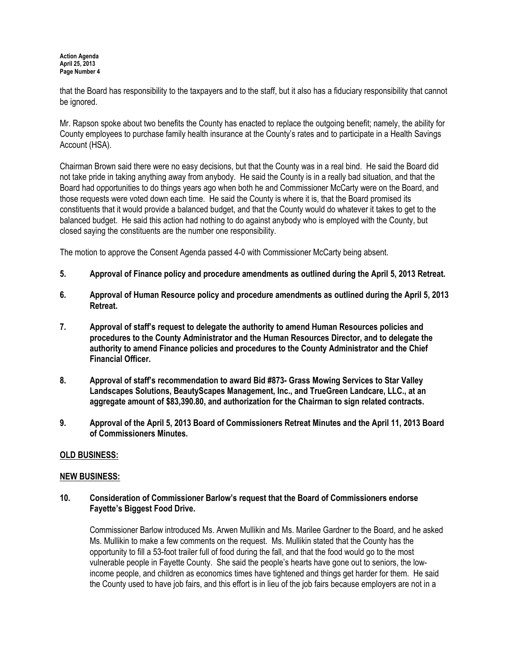that the Board has responsibility to the taxpayers and to the staff, but it also has a fiduciary responsibility that cannot be ignored.

Mr. Rapson spoke about two benefits the County has enacted to replace the outgoing benefit; namely, the ability for County employees to purchase family health insurance at the County's rates and to participate in a Health Savings Account (HSA).

Chairman Brown said there were no easy decisions, but that the County was in a real bind. He said the Board did not take pride in taking anything away from anybody. He said the County is in a really bad situation, and that the Board had opportunities to do things years ago when both he and Commissioner McCarty were on the Board, and those requests were voted down each time. He said the County is where it is, that the Board promised its constituents that it would provide a balanced budget, and that the County would do whatever it takes to get to the balanced budget. He said this action had nothing to do against anybody who is employed with the County, but closed saying the constituents are the number one responsibility.

The motion to approve the Consent Agenda passed 4-0 with Commissioner McCarty being absent.

- 5. Approval of Finance policy and procedure amendments as outlined during the April 5, 2013 Retreat.
- 6. Approval of Human Resource policy and procedure amendments as outlined during the April 5, 2013 Retreat.
- 7. Approval of staff's request to delegate the authority to amend Human Resources policies and procedures to the County Administrator and the Human Resources Director, and to delegate the authority to amend Finance policies and procedures to the County Administrator and the Chief Financial Officer.
- 8. Approval of staff's recommendation to award Bid #873- Grass Mowing Services to Star Valley Landscapes Solutions, BeautyScapes Management, Inc., and TrueGreen Landcare, LLC., at an aggregate amount of \$83,390.80, and authorization for the Chairman to sign related contracts.
- 9. Approval of the April 5, 2013 Board of Commissioners Retreat Minutes and the April 11, 2013 Board of Commissioners Minutes.

# OLD BUSINESS:

## NEW BUSINESS:

## 10. Consideration of Commissioner Barlow's request that the Board of Commissioners endorse Fayette's Biggest Food Drive.

Commissioner Barlow introduced Ms. Arwen Mullikin and Ms. Marilee Gardner to the Board, and he asked Ms. Mullikin to make a few comments on the request. Ms. Mullikin stated that the County has the opportunity to fill a 53-foot trailer full of food during the fall, and that the food would go to the most vulnerable people in Fayette County. She said the people's hearts have gone out to seniors, the lowincome people, and children as economics times have tightened and things get harder for them. He said the County used to have job fairs, and this effort is in lieu of the job fairs because employers are not in a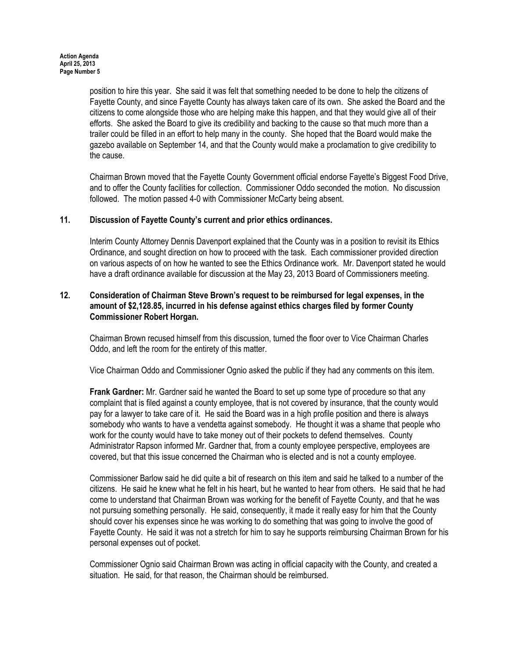position to hire this year. She said it was felt that something needed to be done to help the citizens of Fayette County, and since Fayette County has always taken care of its own. She asked the Board and the citizens to come alongside those who are helping make this happen, and that they would give all of their efforts. She asked the Board to give its credibility and backing to the cause so that much more than a trailer could be filled in an effort to help many in the county. She hoped that the Board would make the gazebo available on September 14, and that the County would make a proclamation to give credibility to the cause.

Chairman Brown moved that the Fayette County Government official endorse Fayette's Biggest Food Drive, and to offer the County facilities for collection. Commissioner Oddo seconded the motion. No discussion followed. The motion passed 4-0 with Commissioner McCarty being absent.

## 11. Discussion of Fayette County's current and prior ethics ordinances.

Interim County Attorney Dennis Davenport explained that the County was in a position to revisit its Ethics Ordinance, and sought direction on how to proceed with the task. Each commissioner provided direction on various aspects of on how he wanted to see the Ethics Ordinance work. Mr. Davenport stated he would have a draft ordinance available for discussion at the May 23, 2013 Board of Commissioners meeting.

## 12. Consideration of Chairman Steve Brown's request to be reimbursed for legal expenses, in the amount of \$2,128.85, incurred in his defense against ethics charges filed by former County Commissioner Robert Horgan.

Chairman Brown recused himself from this discussion, turned the floor over to Vice Chairman Charles Oddo, and left the room for the entirety of this matter.

Vice Chairman Oddo and Commissioner Ognio asked the public if they had any comments on this item.

Frank Gardner: Mr. Gardner said he wanted the Board to set up some type of procedure so that any complaint that is filed against a county employee, that is not covered by insurance, that the county would pay for a lawyer to take care of it. He said the Board was in a high profile position and there is always somebody who wants to have a vendetta against somebody. He thought it was a shame that people who work for the county would have to take money out of their pockets to defend themselves. County Administrator Rapson informed Mr. Gardner that, from a county employee perspective, employees are covered, but that this issue concerned the Chairman who is elected and is not a county employee.

Commissioner Barlow said he did quite a bit of research on this item and said he talked to a number of the citizens. He said he knew what he felt in his heart, but he wanted to hear from others. He said that he had come to understand that Chairman Brown was working for the benefit of Fayette County, and that he was not pursuing something personally. He said, consequently, it made it really easy for him that the County should cover his expenses since he was working to do something that was going to involve the good of Fayette County. He said it was not a stretch for him to say he supports reimbursing Chairman Brown for his personal expenses out of pocket.

Commissioner Ognio said Chairman Brown was acting in official capacity with the County, and created a situation. He said, for that reason, the Chairman should be reimbursed.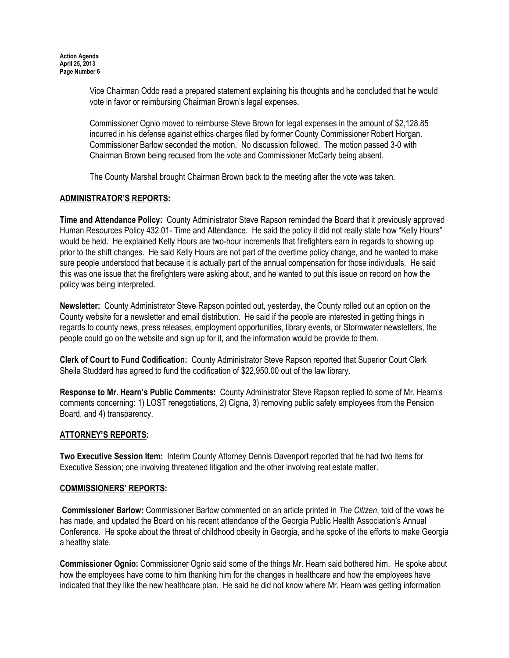Vice Chairman Oddo read a prepared statement explaining his thoughts and he concluded that he would vote in favor or reimbursing Chairman Brown's legal expenses.

Commissioner Ognio moved to reimburse Steve Brown for legal expenses in the amount of \$2,128.85 incurred in his defense against ethics charges filed by former County Commissioner Robert Horgan. Commissioner Barlow seconded the motion. No discussion followed. The motion passed 3-0 with Chairman Brown being recused from the vote and Commissioner McCarty being absent.

The County Marshal brought Chairman Brown back to the meeting after the vote was taken.

# ADMINISTRATOR'S REPORTS:

Time and Attendance Policy: County Administrator Steve Rapson reminded the Board that it previously approved Human Resources Policy 432.01- Time and Attendance. He said the policy it did not really state how "Kelly Hours" would be held. He explained Kelly Hours are two-hour increments that firefighters earn in regards to showing up prior to the shift changes. He said Kelly Hours are not part of the overtime policy change, and he wanted to make sure people understood that because it is actually part of the annual compensation for those individuals. He said this was one issue that the firefighters were asking about, and he wanted to put this issue on record on how the policy was being interpreted.

Newsletter: County Administrator Steve Rapson pointed out, yesterday, the County rolled out an option on the County website for a newsletter and email distribution. He said if the people are interested in getting things in regards to county news, press releases, employment opportunities, library events, or Stormwater newsletters, the people could go on the website and sign up for it, and the information would be provide to them.

Clerk of Court to Fund Codification: County Administrator Steve Rapson reported that Superior Court Clerk Sheila Studdard has agreed to fund the codification of \$22,950.00 out of the law library.

Response to Mr. Hearn's Public Comments: County Administrator Steve Rapson replied to some of Mr. Hearn's comments concerning: 1) LOST renegotiations, 2) Cigna, 3) removing public safety employees from the Pension Board, and 4) transparency.

# ATTORNEY'S REPORTS:

Two Executive Session Item: Interim County Attorney Dennis Davenport reported that he had two items for Executive Session; one involving threatened litigation and the other involving real estate matter.

# COMMISSIONERS' REPORTS:

 Commissioner Barlow: Commissioner Barlow commented on an article printed in The Citizen, told of the vows he has made, and updated the Board on his recent attendance of the Georgia Public Health Association's Annual Conference. He spoke about the threat of childhood obesity in Georgia, and he spoke of the efforts to make Georgia a healthy state.

Commissioner Ognio: Commissioner Ognio said some of the things Mr. Hearn said bothered him. He spoke about how the employees have come to him thanking him for the changes in healthcare and how the employees have indicated that they like the new healthcare plan. He said he did not know where Mr. Hearn was getting information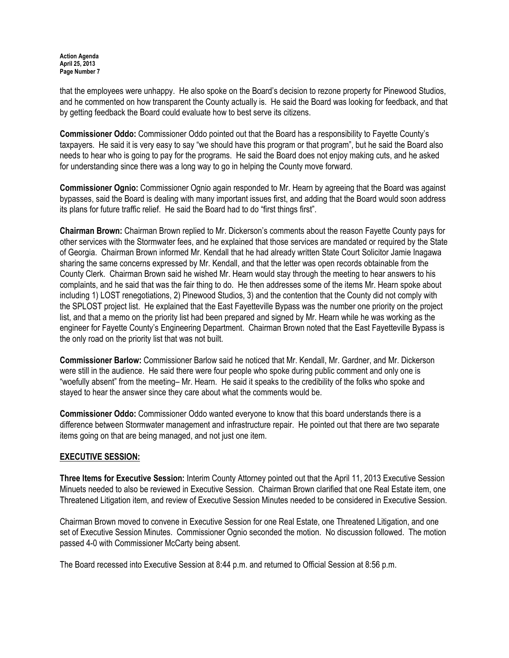that the employees were unhappy. He also spoke on the Board's decision to rezone property for Pinewood Studios, and he commented on how transparent the County actually is. He said the Board was looking for feedback, and that by getting feedback the Board could evaluate how to best serve its citizens.

Commissioner Oddo: Commissioner Oddo pointed out that the Board has a responsibility to Fayette County's taxpayers. He said it is very easy to say "we should have this program or that program", but he said the Board also needs to hear who is going to pay for the programs. He said the Board does not enjoy making cuts, and he asked for understanding since there was a long way to go in helping the County move forward.

Commissioner Ognio: Commissioner Ognio again responded to Mr. Hearn by agreeing that the Board was against bypasses, said the Board is dealing with many important issues first, and adding that the Board would soon address its plans for future traffic relief. He said the Board had to do "first things first".

Chairman Brown: Chairman Brown replied to Mr. Dickerson's comments about the reason Fayette County pays for other services with the Stormwater fees, and he explained that those services are mandated or required by the State of Georgia. Chairman Brown informed Mr. Kendall that he had already written State Court Solicitor Jamie Inagawa sharing the same concerns expressed by Mr. Kendall, and that the letter was open records obtainable from the County Clerk. Chairman Brown said he wished Mr. Hearn would stay through the meeting to hear answers to his complaints, and he said that was the fair thing to do. He then addresses some of the items Mr. Hearn spoke about including 1) LOST renegotiations, 2) Pinewood Studios, 3) and the contention that the County did not comply with the SPLOST project list. He explained that the East Fayetteville Bypass was the number one priority on the project list, and that a memo on the priority list had been prepared and signed by Mr. Hearn while he was working as the engineer for Fayette County's Engineering Department. Chairman Brown noted that the East Fayetteville Bypass is the only road on the priority list that was not built.

Commissioner Barlow: Commissioner Barlow said he noticed that Mr. Kendall, Mr. Gardner, and Mr. Dickerson were still in the audience. He said there were four people who spoke during public comment and only one is "woefully absent" from the meeting– Mr. Hearn. He said it speaks to the credibility of the folks who spoke and stayed to hear the answer since they care about what the comments would be.

Commissioner Oddo: Commissioner Oddo wanted everyone to know that this board understands there is a difference between Stormwater management and infrastructure repair. He pointed out that there are two separate items going on that are being managed, and not just one item.

## EXECUTIVE SESSION:

Three Items for Executive Session: Interim County Attorney pointed out that the April 11, 2013 Executive Session Minuets needed to also be reviewed in Executive Session. Chairman Brown clarified that one Real Estate item, one Threatened Litigation item, and review of Executive Session Minutes needed to be considered in Executive Session.

Chairman Brown moved to convene in Executive Session for one Real Estate, one Threatened Litigation, and one set of Executive Session Minutes. Commissioner Ognio seconded the motion. No discussion followed. The motion passed 4-0 with Commissioner McCarty being absent.

The Board recessed into Executive Session at 8:44 p.m. and returned to Official Session at 8:56 p.m.